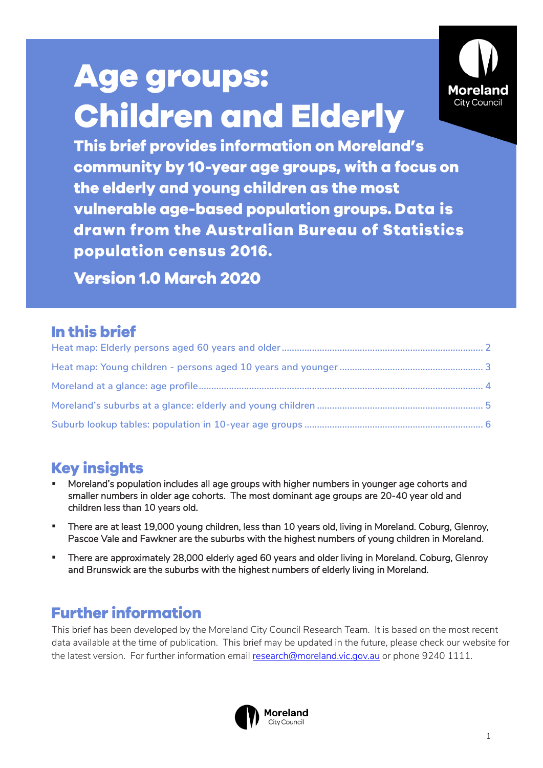# **Age groups: Children and Elderly**



This brief provides information on Moreland's community by 10-year age groups, with a focus on the elderly and young children as the most vulnerable age-based population groups. Data is drawn from the Australian Bureau of Statistics population census 2016.

**Version 1.0 March 2020** 

## In this brief

# **Key insights**

- Moreland's population includes all age groups with higher numbers in younger age cohorts and smaller numbers in older age cohorts. The most dominant age groups are 20-40 year old and children less than 10 years old.
- There are at least 19,000 young children, less than 10 years old, living in Moreland. Coburg, Glenroy, Pascoe Vale and Fawkner are the suburbs with the highest numbers of young children in Moreland.
- **EXECT:** There are approximately 28,000 elderly aged 60 years and older living in Moreland. Coburg, Glenroy and Brunswick are the suburbs with the highest numbers of elderly living in Moreland.

## **Further information**

This brief has been developed by the Moreland City Council Research Team. It is based on the most recent data available at the time of publication. This brief may be updated in the future, please check our website for the latest version. For further information email [research@moreland.vic.gov.au](mailto:research@moreland.vic.gov.au) or phone 9240 1111.

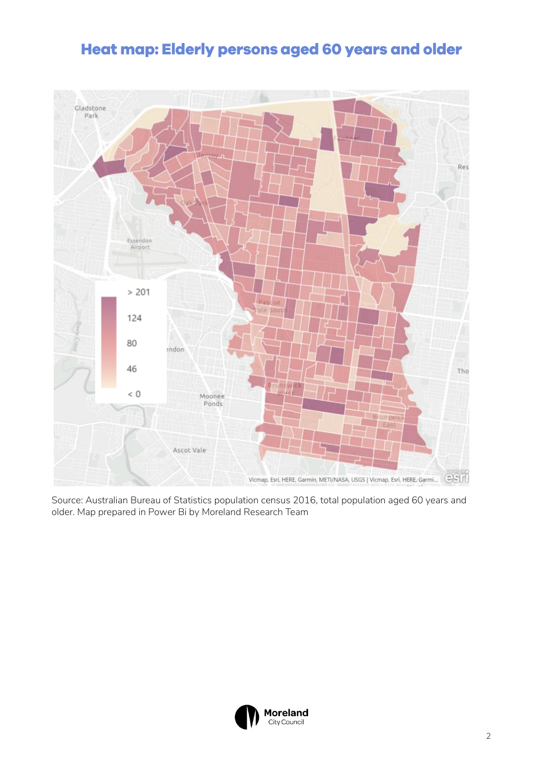## <span id="page-1-0"></span>Heat map: Elderly persons aged 60 years and older



Source: Australian Bureau of Statistics population census 2016, total population aged 60 years and older. Map prepared in Power Bi by Moreland Research Team

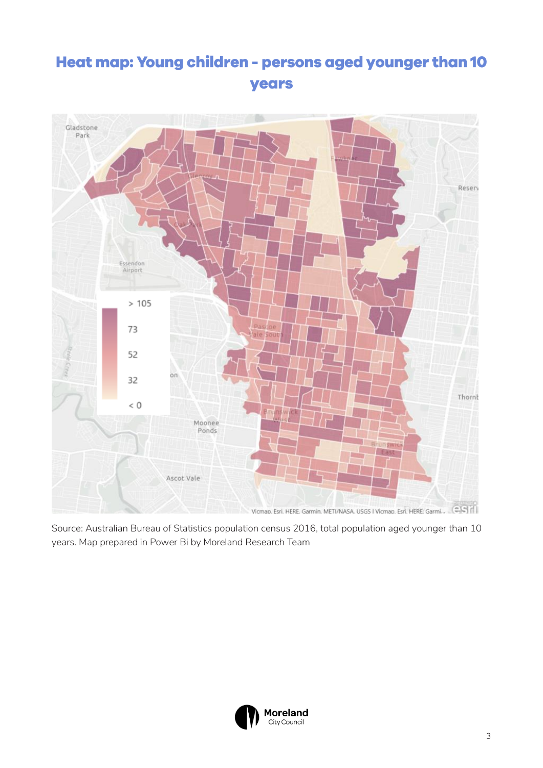# <span id="page-2-0"></span>Heat map: Young children - persons aged younger than 10 years



Source: Australian Bureau of Statistics population census 2016, total population aged younger than 10 years. Map prepared in Power Bi by Moreland Research Team

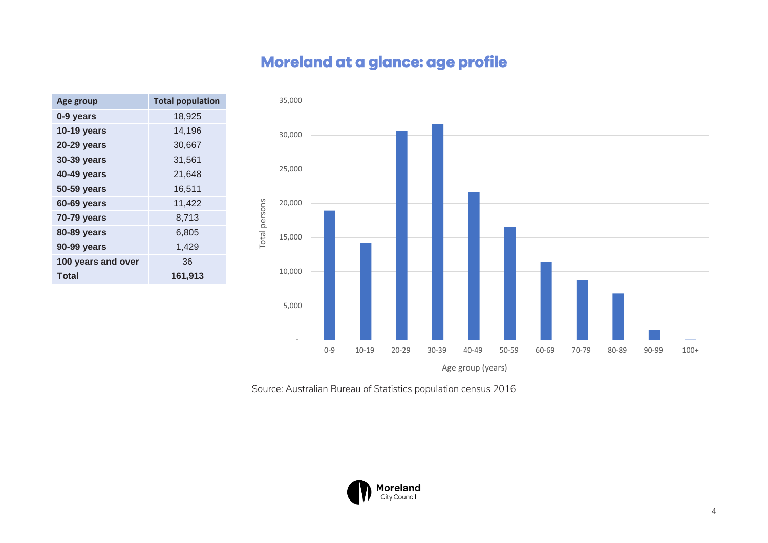# Moreland at a glance: age profile

<span id="page-3-0"></span>

| Age group          | <b>Total population</b> |
|--------------------|-------------------------|
| 0-9 years          | 18,925                  |
| <b>10-19 years</b> | 14,196                  |
| <b>20-29 years</b> | 30,667                  |
| <b>30-39 years</b> | 31,561                  |
| 40-49 years        | 21,648                  |
| 50-59 years        | 16,511                  |
| <b>60-69 years</b> | 11,422                  |
| 70-79 years        | 8,713                   |
| 80-89 years        | 6,805                   |
| 90-99 years        | 1,429                   |
| 100 years and over | 36                      |
| Total              | 161,913                 |



Source: Australian Bureau of Statistics population census 2016

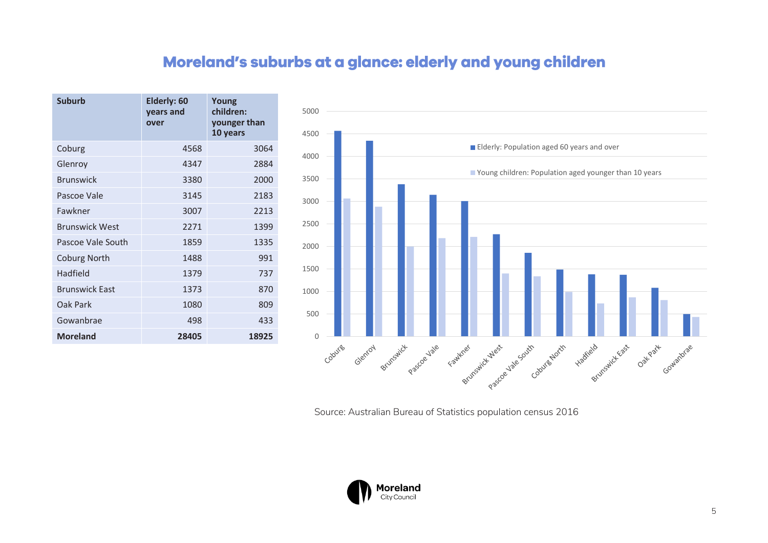## Moreland's suburbs at a glance: elderly and young children

<span id="page-4-0"></span>

| <b>Suburb</b>         | Elderly: 60<br>years and<br>over | Young<br>children:<br>younger than<br>10 years |
|-----------------------|----------------------------------|------------------------------------------------|
| Coburg                | 4568                             | 3064                                           |
| Glenroy               | 4347                             | 2884                                           |
| <b>Brunswick</b>      | 3380                             | 2000                                           |
| Pascoe Vale           | 3145                             | 2183                                           |
| Fawkner               | 3007                             | 2213                                           |
| <b>Brunswick West</b> | 2271                             | 1399                                           |
| Pascoe Vale South     | 1859                             | 1335                                           |
| <b>Coburg North</b>   | 1488                             | 991                                            |
| Hadfield              | 1379                             | 737                                            |
| <b>Brunswick East</b> | 1373                             | 870                                            |
| Oak Park              | 1080                             | 809                                            |
| Gowanbrae             | 498                              | 433                                            |
| <b>Moreland</b>       | 28405                            | 18925                                          |



Source: Australian Bureau of Statistics population census 2016

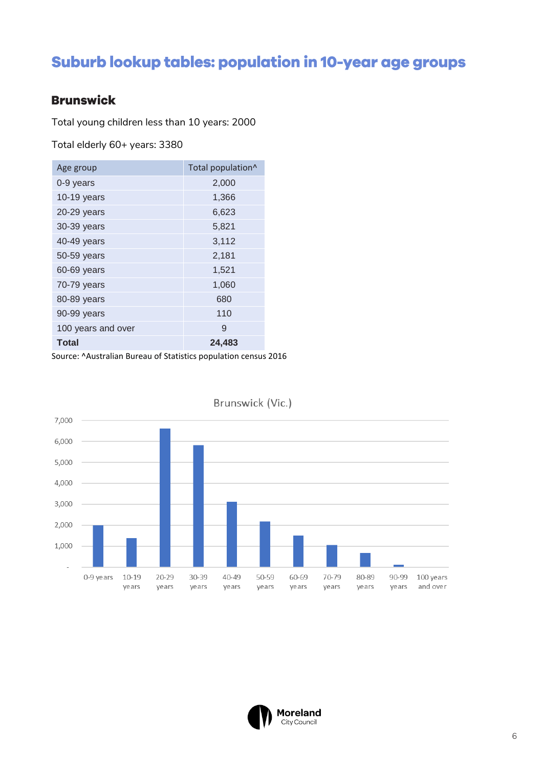# <span id="page-5-0"></span>Suburb lookup tables: population in 10-year age groups

#### **Brunswick**

Total young children less than 10 years: 2000

Total elderly 60+ years: 3380

| Age group          | Total population^ |
|--------------------|-------------------|
| 0-9 years          | 2,000             |
| 10-19 years        | 1,366             |
| 20-29 years        | 6,623             |
| 30-39 years        | 5,821             |
| 40-49 years        | 3,112             |
| 50-59 years        | 2,181             |
| 60-69 years        | 1,521             |
| 70-79 years        | 1,060             |
| 80-89 years        | 680               |
| 90-99 years        | 110               |
| 100 years and over | 9                 |
| Total              | 24,483            |

Source: ^Australian Bureau of Statistics population census 2016



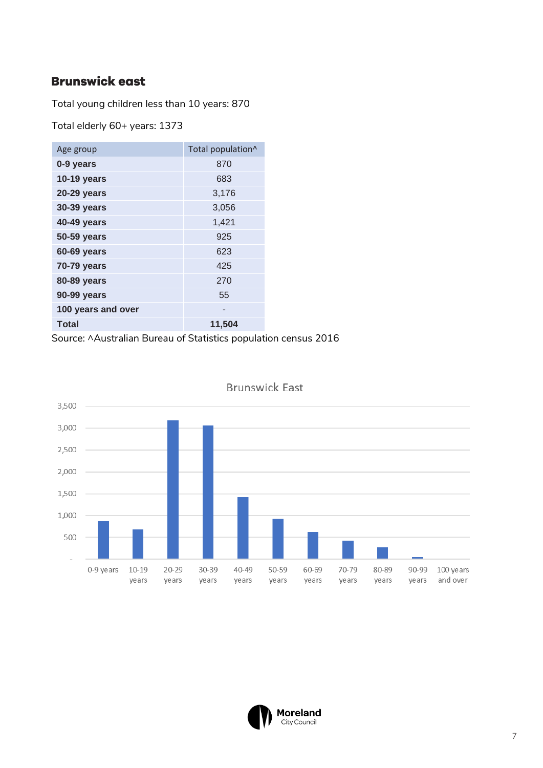#### **Brunswick east**

Total young children less than 10 years: 870

Total elderly 60+ years: 1373

| Age group          | Total population^ |
|--------------------|-------------------|
| 0-9 years          | 870               |
| <b>10-19 years</b> | 683               |
| 20-29 years        | 3,176             |
| 30-39 years        | 3,056             |
| 40-49 years        | 1,421             |
| 50-59 years        | 925               |
| 60-69 years        | 623               |
| 70-79 years        | 425               |
| 80-89 years        | 270               |
| 90-99 years        | 55                |
| 100 years and over |                   |
| <b>Total</b>       | 11,504            |

Source: ^Australian Bureau of Statistics population census 2016



**Brunswick East** 

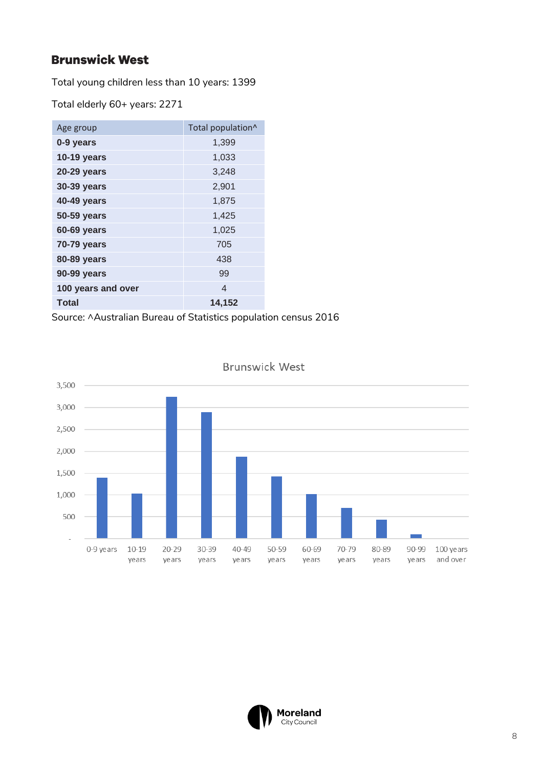#### **Brunswick West**

Total young children less than 10 years: 1399

Total elderly 60+ years: 2271

| Age group          | Total population^ |
|--------------------|-------------------|
| 0-9 years          | 1,399             |
| <b>10-19 years</b> | 1,033             |
| <b>20-29 years</b> | 3,248             |
| 30-39 years        | 2,901             |
| <b>40-49 years</b> | 1,875             |
| 50-59 years        | 1,425             |
| 60-69 years        | 1,025             |
| <b>70-79 years</b> | 705               |
| <b>80-89 years</b> | 438               |
| 90-99 years        | 99                |
| 100 years and over | 4                 |
| <b>Total</b>       | 14,152            |

Source: ^Australian Bureau of Statistics population census 2016



**Brunswick West** 

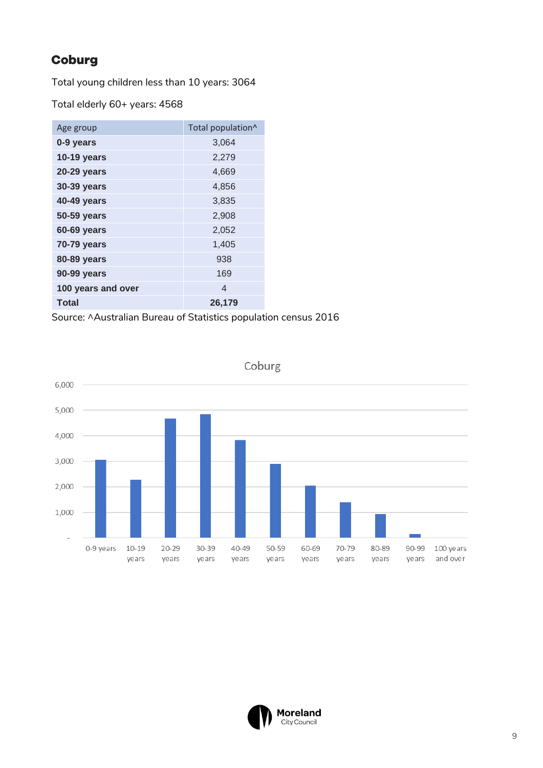## Coburg

Total young children less than 10 years: 3064

Total elderly 60+ years: 4568

| Age group          | Total population^ |
|--------------------|-------------------|
| 0-9 years          | 3,064             |
| <b>10-19 years</b> | 2,279             |
| <b>20-29 years</b> | 4,669             |
| <b>30-39 years</b> | 4,856             |
| <b>40-49 years</b> | 3,835             |
| 50-59 years        | 2,908             |
| 60-69 years        | 2,052             |
| <b>70-79 years</b> | 1,405             |
| <b>80-89 years</b> | 938               |
| 90-99 years        | 169               |
| 100 years and over | 4                 |
| <b>Total</b>       | 26,179            |

Source: ^Australian Bureau of Statistics population census 2016



Coburg

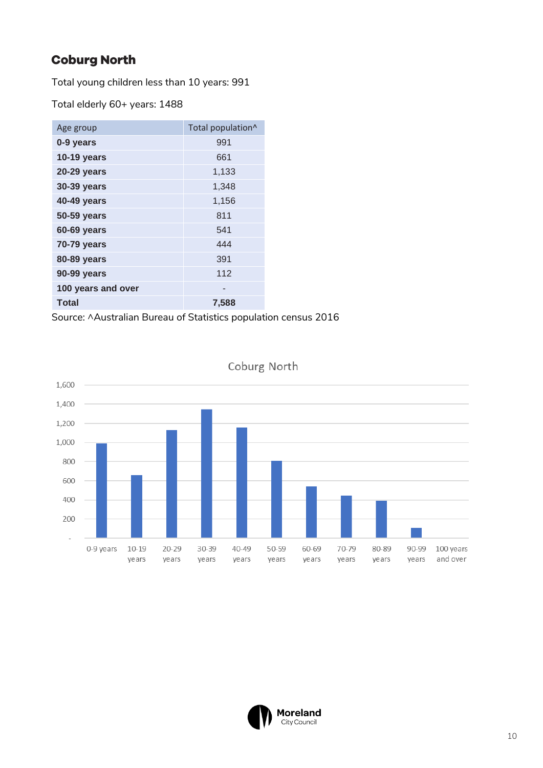## **Coburg North**

Total young children less than 10 years: 991

Total elderly 60+ years: 1488

| Age group          | Total population^ |
|--------------------|-------------------|
| 0-9 years          | 991               |
| 10-19 years        | 661               |
| <b>20-29 years</b> | 1,133             |
| <b>30-39 years</b> | 1,348             |
| <b>40-49 years</b> | 1,156             |
| <b>50-59 years</b> | 811               |
| 60-69 years        | 541               |
| 70-79 years        | 444               |
| 80-89 years        | 391               |
| 90-99 years        | 112               |
| 100 years and over | -                 |
| <b>Total</b>       | 7,588             |

Source: ^Australian Bureau of Statistics population census 2016



Coburg North

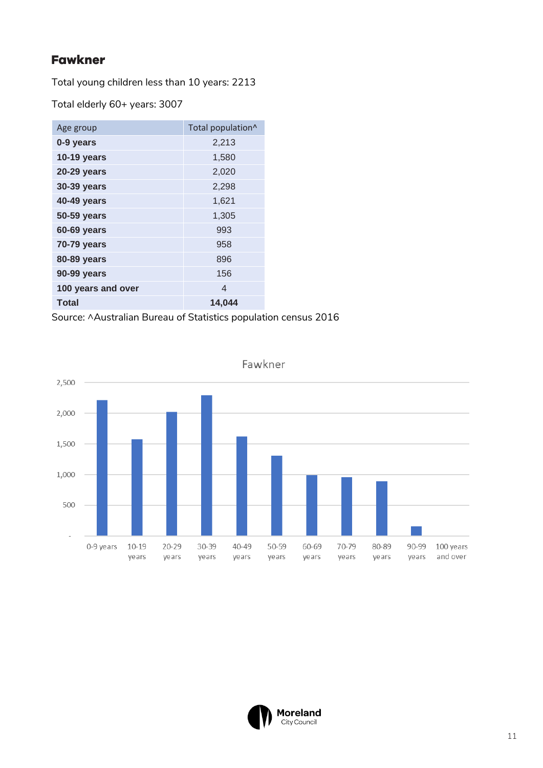#### **Fawkner**

Total young children less than 10 years: 2213

Total elderly 60+ years: 3007

| Age group          | Total population^ |
|--------------------|-------------------|
| 0-9 years          | 2,213             |
| <b>10-19 years</b> | 1,580             |
| <b>20-29 years</b> | 2,020             |
| 30-39 years        | 2,298             |
| <b>40-49 years</b> | 1,621             |
| <b>50-59 years</b> | 1,305             |
| 60-69 years        | 993               |
| 70-79 years        | 958               |
| 80-89 years        | 896               |
| 90-99 years        | 156               |
| 100 years and over | 4                 |
| <b>Total</b>       | 14,044            |

Source: ^Australian Bureau of Statistics population census 2016



Fawkner

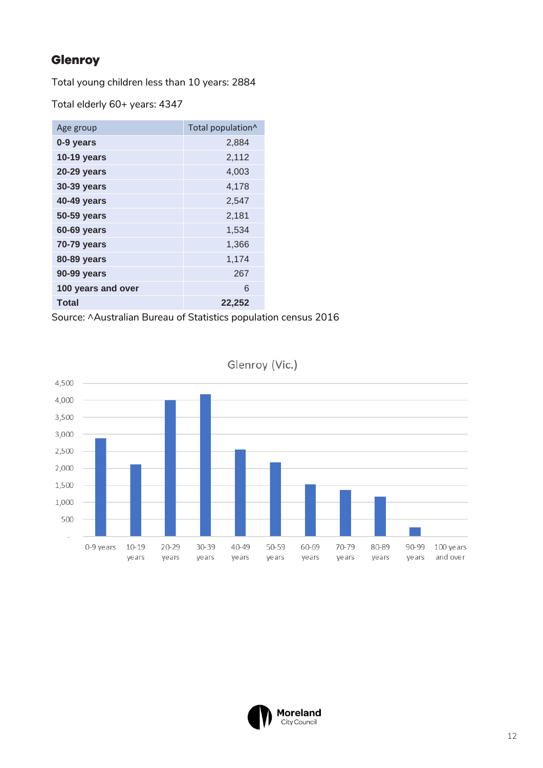### Glenroy

Total young children less than 10 years: 2884

Total elderly 60+ years: 4347

| Age group          | Total population^ |
|--------------------|-------------------|
| 0-9 years          | 2,884             |
| <b>10-19 years</b> | 2,112             |
| <b>20-29 years</b> | 4,003             |
| 30-39 years        | 4,178             |
| 40-49 years        | 2,547             |
| <b>50-59 years</b> | 2,181             |
| 60-69 years        | 1,534             |
| <b>70-79 years</b> | 1,366             |
| <b>80-89 years</b> | 1,174             |
| 90-99 years        | 267               |
| 100 years and over | 6                 |
| <b>Total</b>       | 22,252            |

Source: ^Australian Bureau of Statistics population census 2016



Glenroy (Vic.)

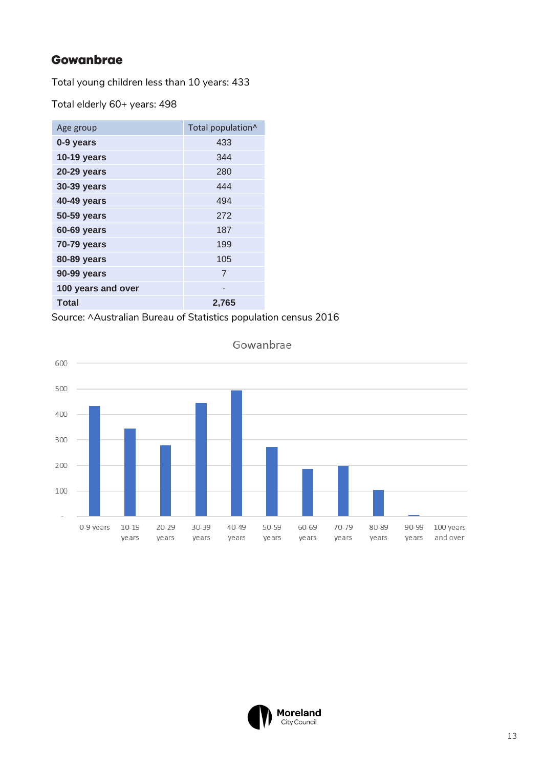#### Gowanbrae

Total young children less than 10 years: 433

Total elderly 60+ years: 498

| Age group          | Total population^ |
|--------------------|-------------------|
| 0-9 years          | 433               |
| <b>10-19 years</b> | 344               |
| <b>20-29 years</b> | 280               |
| <b>30-39 years</b> | 444               |
| <b>40-49 years</b> | 494               |
| 50-59 years        | 272               |
| 60-69 years        | 187               |
| 70-79 years        | 199               |
| 80-89 years        | 105               |
| 90-99 years        | $\overline{7}$    |
| 100 years and over |                   |
| <b>Total</b>       | 2,765             |

Source: ^Australian Bureau of Statistics population census 2016



Gowanbrae

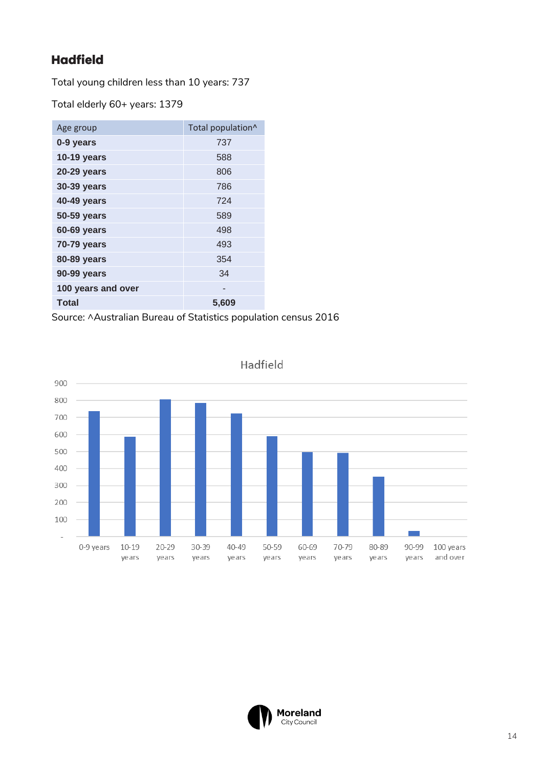## **Hadfield**

Total young children less than 10 years: 737

Total elderly 60+ years: 1379

| Age group          | Total population <sup>^</sup> |
|--------------------|-------------------------------|
| 0-9 years          | 737                           |
| <b>10-19 years</b> | 588                           |
| <b>20-29 years</b> | 806                           |
| <b>30-39 years</b> | 786                           |
| <b>40-49 years</b> | 724                           |
| 50-59 years        | 589                           |
| 60-69 years        | 498                           |
| <b>70-79 years</b> | 493                           |
| 80-89 years        | 354                           |
| 90-99 years        | 34                            |
| 100 years and over |                               |
| <b>Total</b>       | 5,609                         |

Source: ^Australian Bureau of Statistics population census 2016



Hadfield

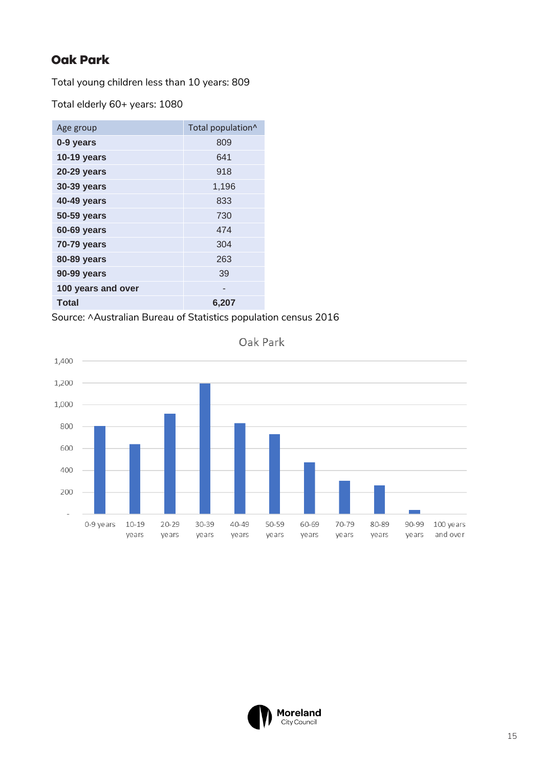#### **Oak Park**

Total young children less than 10 years: 809

Total elderly 60+ years: 1080

| Age group          | Total population^ |
|--------------------|-------------------|
| 0-9 years          | 809               |
| 10-19 years        | 641               |
| <b>20-29 years</b> | 918               |
| 30-39 years        | 1,196             |
| <b>40-49 years</b> | 833               |
| <b>50-59 years</b> | 730               |
| 60-69 years        | 474               |
| 70-79 years        | 304               |
| 80-89 years        | 263               |
| 90-99 years        | 39                |
| 100 years and over | -                 |
| <b>Total</b>       | 6,207             |

Source: ^Australian Bureau of Statistics population census 2016



Oak Park

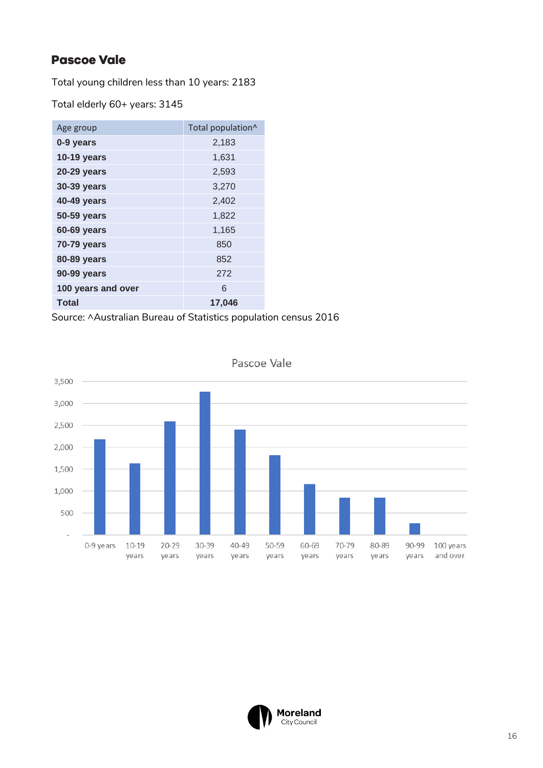#### **Pascoe Vale**

Total young children less than 10 years: 2183

Total elderly 60+ years: 3145

| Age group          | Total population^ |
|--------------------|-------------------|
| 0-9 years          | 2,183             |
| <b>10-19 years</b> | 1,631             |
| <b>20-29 years</b> | 2,593             |
| 30-39 years        | 3,270             |
| <b>40-49 years</b> | 2,402             |
| 50-59 years        | 1,822             |
| 60-69 years        | 1,165             |
| 70-79 years        | 850               |
| 80-89 years        | 852               |
| 90-99 years        | 272               |
| 100 years and over | 6                 |
| <b>Total</b>       | 17,046            |

Source: ^Australian Bureau of Statistics population census 2016



Pascoe Vale